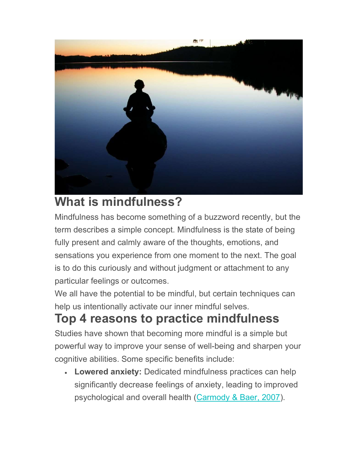

## What is mindfulness?

Mindfulness has become something of a buzzword recently, but the term describes a simple concept. Mindfulness is the state of being fully present and calmly aware of the thoughts, emotions, and sensations you experience from one moment to the next. The goal is to do this curiously and without judgment or attachment to any particular feelings or outcomes.

We all have the potential to be mindful, but certain techniques can help us intentionally activate our inner mindful selves.

## Top 4 reasons to practice mindfulness

Studies have shown that becoming more mindful is a simple but powerful way to improve your sense of well-being and sharpen your cognitive abilities. Some specific benefits include:

 Lowered anxiety: Dedicated mindfulness practices can help significantly decrease feelings of anxiety, leading to improved psychological and overall health (Carmody & Baer, 2007).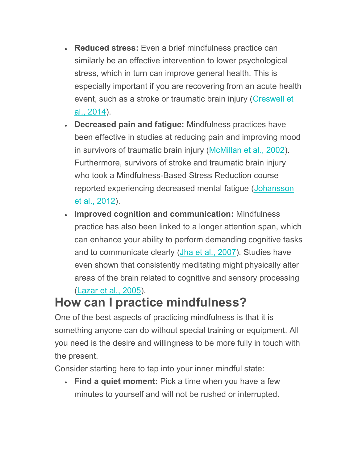- Reduced stress: Even a brief mindfulness practice can similarly be an effective intervention to lower psychological stress, which in turn can improve general health. This is especially important if you are recovering from an acute health event, such as a stroke or traumatic brain injury (Creswell et al., 2014).
- Decreased pain and fatigue: Mindfulness practices have been effective in studies at reducing pain and improving mood in survivors of traumatic brain injury (McMillan et al., 2002). Furthermore, survivors of stroke and traumatic brain injury who took a Mindfulness-Based Stress Reduction course reported experiencing decreased mental fatigue (Johansson et al., 2012).
- **Improved cognition and communication: Mindfulness** practice has also been linked to a longer attention span, which can enhance your ability to perform demanding cognitive tasks and to communicate clearly (Jha et al., 2007). Studies have even shown that consistently meditating might physically alter areas of the brain related to cognitive and sensory processing (Lazar et al., 2005).

## How can I practice mindfulness?

One of the best aspects of practicing mindfulness is that it is something anyone can do without special training or equipment. All you need is the desire and willingness to be more fully in touch with the present.

Consider starting here to tap into your inner mindful state:

• Find a quiet moment: Pick a time when you have a few minutes to yourself and will not be rushed or interrupted.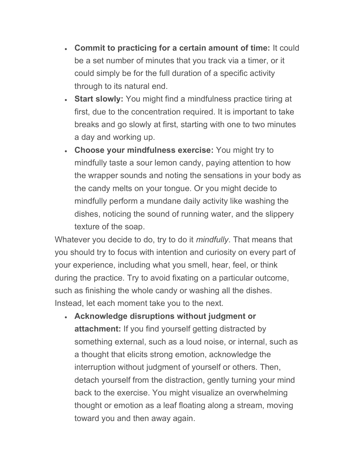- Commit to practicing for a certain amount of time: It could be a set number of minutes that you track via a timer, or it could simply be for the full duration of a specific activity through to its natural end.
- Start slowly: You might find a mindfulness practice tiring at first, due to the concentration required. It is important to take breaks and go slowly at first, starting with one to two minutes a day and working up.
- Choose your mindfulness exercise: You might try to mindfully taste a sour lemon candy, paying attention to how the wrapper sounds and noting the sensations in your body as the candy melts on your tongue. Or you might decide to mindfully perform a mundane daily activity like washing the dishes, noticing the sound of running water, and the slippery texture of the soap.

Whatever you decide to do, try to do it *mindfully*. That means that you should try to focus with intention and curiosity on every part of your experience, including what you smell, hear, feel, or think during the practice. Try to avoid fixating on a particular outcome, such as finishing the whole candy or washing all the dishes. Instead, let each moment take you to the next.

 Acknowledge disruptions without judgment or attachment: If you find yourself getting distracted by something external, such as a loud noise, or internal, such as a thought that elicits strong emotion, acknowledge the interruption without judgment of yourself or others. Then, detach yourself from the distraction, gently turning your mind back to the exercise. You might visualize an overwhelming thought or emotion as a leaf floating along a stream, moving toward you and then away again.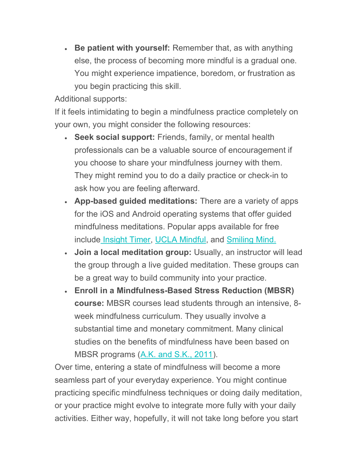• Be patient with yourself: Remember that, as with anything else, the process of becoming more mindful is a gradual one. You might experience impatience, boredom, or frustration as you begin practicing this skill.

Additional supports:

If it feels intimidating to begin a mindfulness practice completely on your own, you might consider the following resources:

- Seek social support: Friends, family, or mental health professionals can be a valuable source of encouragement if you choose to share your mindfulness journey with them. They might remind you to do a daily practice or check-in to ask how you are feeling afterward.
- App-based guided meditations: There are a variety of apps for the iOS and Android operating systems that offer guided mindfulness meditations. Popular apps available for free include Insight Timer, UCLA Mindful, and Smiling Mind.
- Join a local meditation group: Usually, an instructor will lead the group through a live guided meditation. These groups can be a great way to build community into your practice.
- Enroll in a Mindfulness-Based Stress Reduction (MBSR) course: MBSR courses lead students through an intensive, 8 week mindfulness curriculum. They usually involve a substantial time and monetary commitment. Many clinical studies on the benefits of mindfulness have been based on MBSR programs (A.K. and S.K., 2011).

Over time, entering a state of mindfulness will become a more seamless part of your everyday experience. You might continue practicing specific mindfulness techniques or doing daily meditation, or your practice might evolve to integrate more fully with your daily activities. Either way, hopefully, it will not take long before you start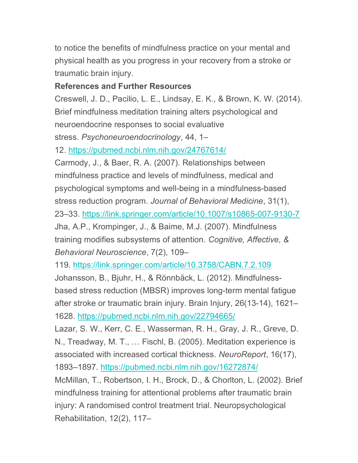to notice the benefits of mindfulness practice on your mental and physical health as you progress in your recovery from a stroke or traumatic brain injury.

## References and Further Resources

Creswell, J. D., Pacilio, L. E., Lindsay, E. K., & Brown, K. W. (2014). Brief mindfulness meditation training alters psychological and neuroendocrine responses to social evaluative stress. Psychoneuroendocrinology, 44, 1–

12. https://pubmed.ncbi.nlm.nih.gov/24767614/

Carmody, J., & Baer, R. A. (2007). Relationships between mindfulness practice and levels of mindfulness, medical and psychological symptoms and well-being in a mindfulness-based stress reduction program. Journal of Behavioral Medicine, 31(1), 23–33. https://link.springer.com/article/10.1007/s10865-007-9130-7 Jha, A.P., Krompinger, J., & Baime, M.J. (2007). Mindfulness training modifies subsystems of attention. Cognitive, Affective, & Behavioral Neuroscience, 7(2), 109–

119. https://link.springer.com/article/10.3758/CABN.7.2.109 Johansson, B., Bjuhr, H., & Rönnbäck, L. (2012). Mindfulnessbased stress reduction (MBSR) improves long-term mental fatigue

after stroke or traumatic brain injury. Brain Injury, 26(13-14), 1621– 1628. https://pubmed.ncbi.nlm.nih.gov/22794665/

Lazar, S. W., Kerr, C. E., Wasserman, R. H., Gray, J. R., Greve, D. N., Treadway, M. T., … Fischl, B. (2005). Meditation experience is associated with increased cortical thickness. NeuroReport, 16(17), 1893–1897. https://pubmed.ncbi.nlm.nih.gov/16272874/

McMillan, T., Robertson, I. H., Brock, D., & Chorlton, L. (2002). Brief mindfulness training for attentional problems after traumatic brain injury: A randomised control treatment trial. Neuropsychological Rehabilitation, 12(2), 117–